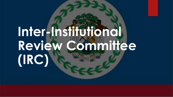# **Inter-Institutional [Review Committee](http://www.google.com.bz/url?sa=i&rct=j&q=&esrc=s&source=images&cd=&cad=rja&uact=8&ved=0CAcQjRxqFQoTCMP83vTkjckCFQRAJgodVMABzg&url=http://flagsoftheworld.co.uk/display-flags/belize-flag.html&psig=AFQjCNE-ph0cLcDzE-SsxNINbfBJtQR2Bw&ust=1447517456176125)  (IRC)**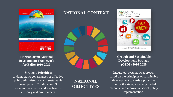

**[Horizon 2030: National](http://med.gov.bz/wp-content/uploads/2016/10/Horizon2030PreparationandImplementationProcess.pdf)  Development Framework for Belize 2010-2030**

### **Strategic Priorities:**

**1.** democratic governance for effective public administration and sustainable development; 2. Education; 3. economic resilience and a 4. healthy citizenry and environment

### **NATIONAL OBJECTIVES**

**NATIONAL CONTEXT**



### **[Growth and Sustainable](http://cdn.gov.bz/mof.gov.bz/files/FINAL%20GSDS_March_30_2016.pdf)  Development Strategy (GSDS) 2016-2020**

Integrated, systematic approach based on the principles of sustainable development towards a proactive role for the state; accessing global markets; and innovative social policy implementation.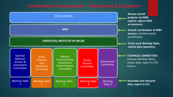### **Institutional Arrangements – Monitoring & Evaluation**

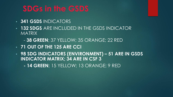## **SDGs in the GSDS**

- **341 GSDS** INDICATORS
- **132 SDGS** ARE INCLUDED IN THE GSDS INDICATOR **MATRIX** 
	- **38 GREEN**; 37 YELLOW; 35 ORANGE; 22 RED
- **71 OUT OF THE 125 ARE CCI**
- **98 SDG INDICATORS (ENVIRONMENT) – 51 ARE IN GSDS INDICATOR MATRIX; 34 ARE IN CSF 3**

**- 14 GREEN**; 15 YELLOW; 13 ORANGE; 9 RED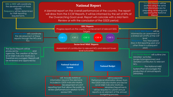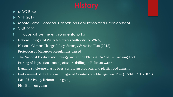- MDG Report
- $\triangleright$  VNR 2017
- Montevideo Consensus Report on Population and Development
- ▶ VNR 2020
- i. Focus will be the environmental pillar
- National Integrated Water Resources Authority (NIWRA)
- National Climate Change Policy, Strategy & Action Plan (2015)
- Protection of Mangrove Regulations passed
- The National Biodiversity Strategy and Action Plan (2016-2020) Tracking Tool
- Passing of legislation banning offshore drilling in Belizean water
- Banning single-use plastic bags, styrofoam products, and plastic food utensils
- Endorsement of the National Integrated Coastal Zone Management Plan (ICZMP 2015-2020)
- Land Use Policy Reform on going
- Fish  $Bill on going$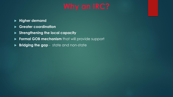### **Higher demand**

- **Greater coordination**
- **Strengthening the local capacity**
- **Formal GOB mechanism** that will provide support
- **Bridging the gap**  state and non-state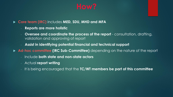- **Core team (IRC)** includes **MED, SDU, MHD and MFA** 
	- **Reports are more holistic**
	- **Oversee and coordinate the process of the report** consultation, drafting, validation and approving of report
	- **Assist in identifying potential financial and technical support**
- **Ad-hoc committee (IRC Sub-Committee)** depending on the nature of the report
	- Include **both state and non-state actors**
	- Actual **report writing**
	- It is being encouraged that the **TC/WT members be part of this committee**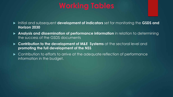- Initial and subsequent **development of indicators** set for monitoring the **GSDS and Horizon 2030**
- **Analysis and dissemination of performance information** in relation to determining the success of the GSDS documents
- **Contribution to the development of M&E Systems** at the sectoral level and **promoting the full development of the NSS**
- **Contribution to efforts to arrive at the adequate reflection of performance** information in the budget.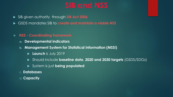- SIB given authority through **SIB Act 2006**
- GSDS mandates SIB to **create and maintain a viable NSS**
- ❖ **NSS - Coordinating framework**
	- **a. Developmental indicators**
	- **b. Management System for Statistical Information (MSSI)**
		- **Launch** is July 2019
		- Should include **baseline data**, **2020 and 2030 targets** (GSDS/SDGs)
		- System is just **being populated**
	- c. **Databases**
	- d. **Capacity**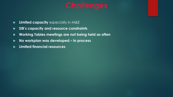- **Limited capacity** especially in M&E
- **SIB's capacity and resource constraints**
- **Working Tables meetings are not being held as often**
- **No workplan was developed – in process**
- **Limited financial resources**